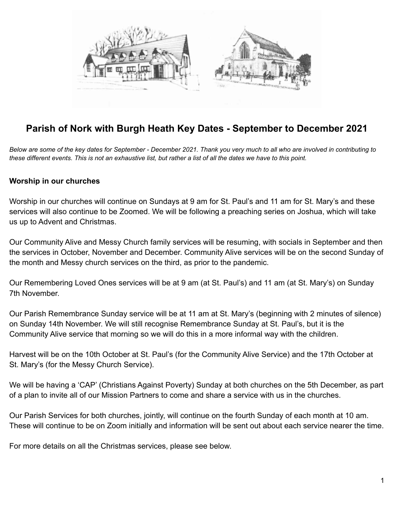

# **Parish of Nork with Burgh Heath Key Dates - September to December 2021**

Below are some of the key dates for September - December 2021. Thank you very much to all who are involved in contributing to these different events. This is not an exhaustive list, but rather a list of all the dates we have to this point.

#### **Worship in our churches**

Worship in our churches will continue on Sundays at 9 am for St. Paul's and 11 am for St. Mary's and these services will also continue to be Zoomed. We will be following a preaching series on Joshua, which will take us up to Advent and Christmas.

Our Community Alive and Messy Church family services will be resuming, with socials in September and then the services in October, November and December. Community Alive services will be on the second Sunday of the month and Messy church services on the third, as prior to the pandemic.

Our Remembering Loved Ones services will be at 9 am (at St. Paul's) and 11 am (at St. Mary's) on Sunday 7th November.

Our Parish Remembrance Sunday service will be at 11 am at St. Mary's (beginning with 2 minutes of silence) on Sunday 14th November. We will still recognise Remembrance Sunday at St. Paul's, but it is the Community Alive service that morning so we will do this in a more informal way with the children.

Harvest will be on the 10th October at St. Paul's (for the Community Alive Service) and the 17th October at St. Mary's (for the Messy Church Service).

We will be having a 'CAP' (Christians Against Poverty) Sunday at both churches on the 5th December, as part of a plan to invite all of our Mission Partners to come and share a service with us in the churches.

Our Parish Services for both churches, jointly, will continue on the fourth Sunday of each month at 10 am. These will continue to be on Zoom initially and information will be sent out about each service nearer the time.

For more details on all the Christmas services, please see below.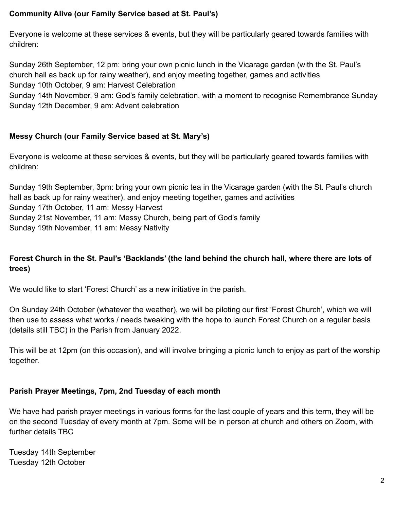## **Community Alive (our Family Service based at St. Paul's)**

Everyone is welcome at these services & events, but they will be particularly geared towards families with children:

Sunday 26th September, 12 pm: bring your own picnic lunch in the Vicarage garden (with the St. Paul's church hall as back up for rainy weather), and enjoy meeting together, games and activities Sunday 10th October, 9 am: Harvest Celebration

Sunday 14th November, 9 am: God's family celebration, with a moment to recognise Remembrance Sunday Sunday 12th December, 9 am: Advent celebration

## **Messy Church (our Family Service based at St. Mary's)**

Everyone is welcome at these services & events, but they will be particularly geared towards families with children:

Sunday 19th September, 3pm: bring your own picnic tea in the Vicarage garden (with the St. Paul's church hall as back up for rainy weather), and enjoy meeting together, games and activities Sunday 17th October, 11 am: Messy Harvest Sunday 21st November, 11 am: Messy Church, being part of God's family Sunday 19th November, 11 am: Messy Nativity

## **Forest Church in the St. Paul's 'Backlands' (the land behind the church hall, where there are lots of trees)**

We would like to start 'Forest Church' as a new initiative in the parish.

On Sunday 24th October (whatever the weather), we will be piloting our first 'Forest Church', which we will then use to assess what works / needs tweaking with the hope to launch Forest Church on a regular basis (details still TBC) in the Parish from January 2022.

This will be at 12pm (on this occasion), and will involve bringing a picnic lunch to enjoy as part of the worship together.

## **Parish Prayer Meetings, 7pm, 2nd Tuesday of each month**

We have had parish prayer meetings in various forms for the last couple of years and this term, they will be on the second Tuesday of every month at 7pm. Some will be in person at church and others on Zoom, with further details TBC

Tuesday 14th September Tuesday 12th October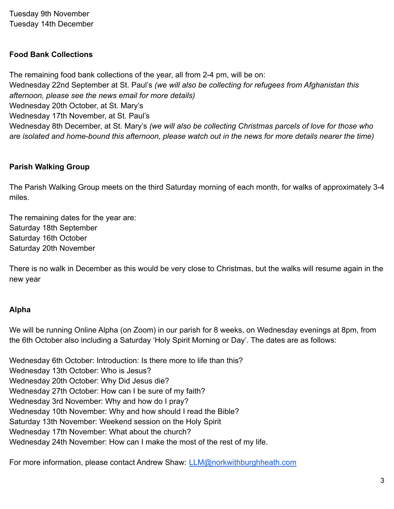Tuesday 9th November Tuesday 14th December

## **Food Bank Collections**

The remaining food bank collections of the year, all from 2-4 pm, will be on: Wednesday 22nd September at St. Paul's *(we will also be collecting for refugees from Afghanistan this afternoon, please see the news email for more details)* Wednesday 20th October, at St. Mary's Wednesday 17th November, at St. Paul's Wednesday 8th December, at St. Mary's *(we will also be collecting Christmas parcels of love for those who are isolated and home-bound this afternoon, please watch out in the news for more details nearer the time)*

## **Parish Walking Group**

The Parish Walking Group meets on the third Saturday morning of each month, for walks of approximately 3-4 miles.

The remaining dates for the year are: Saturday 18th September Saturday 16th October Saturday 20th November

There is no walk in December as this would be very close to Christmas, but the walks will resume again in the new year

#### **Alpha**

We will be running Online Alpha (on Zoom) in our parish for 8 weeks, on Wednesday evenings at 8pm, from the 6th October also including a Saturday 'Holy Spirit Morning or Day'. The dates are as follows:

Wednesday 6th October: Introduction: Is there more to life than this? Wednesday 13th October: Who is Jesus? Wednesday 20th October: Why Did Jesus die? Wednesday 27th October: How can I be sure of my faith? Wednesday 3rd November: Why and how do I pray? Wednesday 10th November: Why and how should I read the Bible? Saturday 13th November: Weekend session on the Holy Spirit Wednesday 17th November: What about the church? Wednesday 24th November: How can I make the most of the rest of my life.

For more information, please contact Andrew Shaw: [LLM@norkwithburghheath.com](mailto:LLM@norkwithburghheath.com)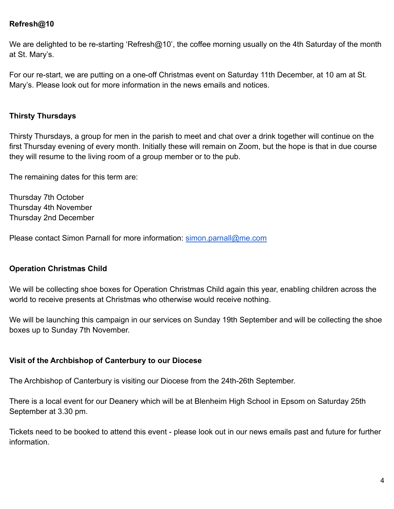## **Refresh@10**

We are delighted to be re-starting 'Refresh@10', the coffee morning usually on the 4th Saturday of the month at St. Mary's.

For our re-start, we are putting on a one-off Christmas event on Saturday 11th December, at 10 am at St. Mary's. Please look out for more information in the news emails and notices.

#### **Thirsty Thursdays**

Thirsty Thursdays, a group for men in the parish to meet and chat over a drink together will continue on the first Thursday evening of every month. Initially these will remain on Zoom, but the hope is that in due course they will resume to the living room of a group member or to the pub.

The remaining dates for this term are:

Thursday 7th October Thursday 4th November Thursday 2nd December

Please contact Simon Parnall for more information: [simon.parnall@me.com](mailto:simon.parnall@me.com)

#### **Operation Christmas Child**

We will be collecting shoe boxes for Operation Christmas Child again this year, enabling children across the world to receive presents at Christmas who otherwise would receive nothing.

We will be launching this campaign in our services on Sunday 19th September and will be collecting the shoe boxes up to Sunday 7th November.

#### **Visit of the Archbishop of Canterbury to our Diocese**

The Archbishop of Canterbury is visiting our Diocese from the 24th-26th September.

There is a local event for our Deanery which will be at Blenheim High School in Epsom on Saturday 25th September at 3.30 pm.

Tickets need to be booked to attend this event - please look out in our news emails past and future for further information.